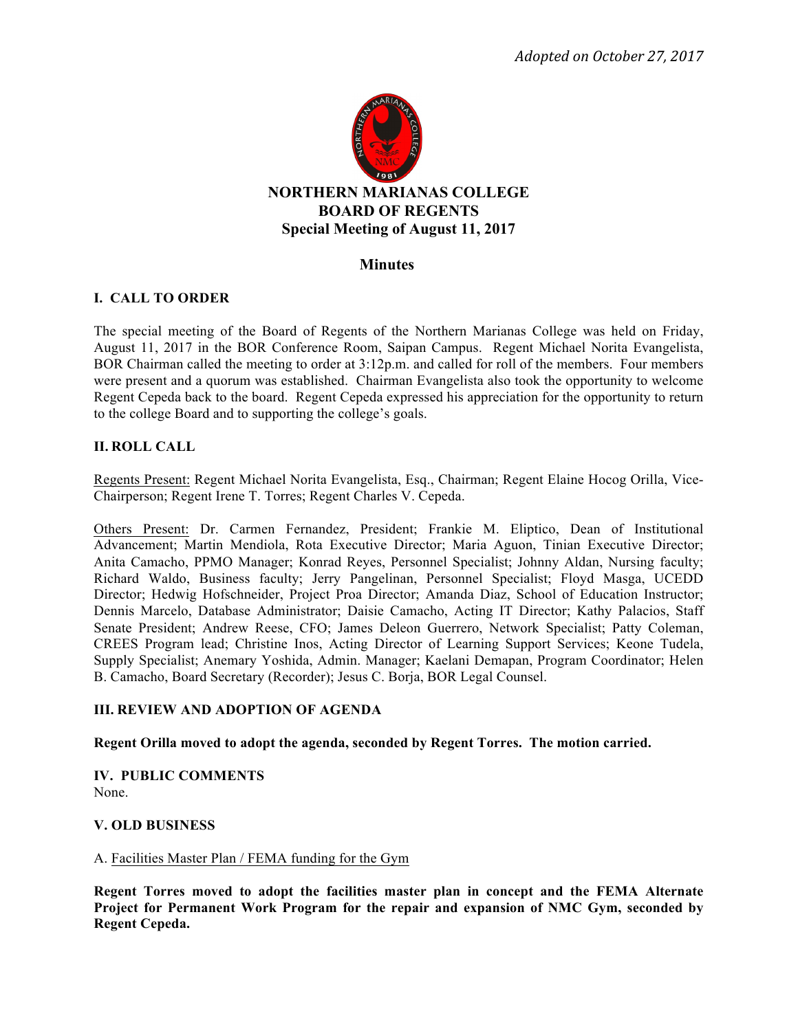

### **Minutes**

# **I. CALL TO ORDER**

The special meeting of the Board of Regents of the Northern Marianas College was held on Friday, August 11, 2017 in the BOR Conference Room, Saipan Campus. Regent Michael Norita Evangelista, BOR Chairman called the meeting to order at 3:12p.m. and called for roll of the members. Four members were present and a quorum was established. Chairman Evangelista also took the opportunity to welcome Regent Cepeda back to the board. Regent Cepeda expressed his appreciation for the opportunity to return to the college Board and to supporting the college's goals.

### **II. ROLL CALL**

Regents Present: Regent Michael Norita Evangelista, Esq., Chairman; Regent Elaine Hocog Orilla, Vice-Chairperson; Regent Irene T. Torres; Regent Charles V. Cepeda.

Others Present: Dr. Carmen Fernandez, President; Frankie M. Eliptico, Dean of Institutional Advancement; Martin Mendiola, Rota Executive Director; Maria Aguon, Tinian Executive Director; Anita Camacho, PPMO Manager; Konrad Reyes, Personnel Specialist; Johnny Aldan, Nursing faculty; Richard Waldo, Business faculty; Jerry Pangelinan, Personnel Specialist; Floyd Masga, UCEDD Director; Hedwig Hofschneider, Project Proa Director; Amanda Diaz, School of Education Instructor; Dennis Marcelo, Database Administrator; Daisie Camacho, Acting IT Director; Kathy Palacios, Staff Senate President; Andrew Reese, CFO; James Deleon Guerrero, Network Specialist; Patty Coleman, CREES Program lead; Christine Inos, Acting Director of Learning Support Services; Keone Tudela, Supply Specialist; Anemary Yoshida, Admin. Manager; Kaelani Demapan, Program Coordinator; Helen B. Camacho, Board Secretary (Recorder); Jesus C. Borja, BOR Legal Counsel.

### **III. REVIEW AND ADOPTION OF AGENDA**

**Regent Orilla moved to adopt the agenda, seconded by Regent Torres. The motion carried.** 

**IV. PUBLIC COMMENTS** None.

### **V. OLD BUSINESS**

#### A. Facilities Master Plan / FEMA funding for the Gym

**Regent Torres moved to adopt the facilities master plan in concept and the FEMA Alternate Project for Permanent Work Program for the repair and expansion of NMC Gym, seconded by Regent Cepeda.**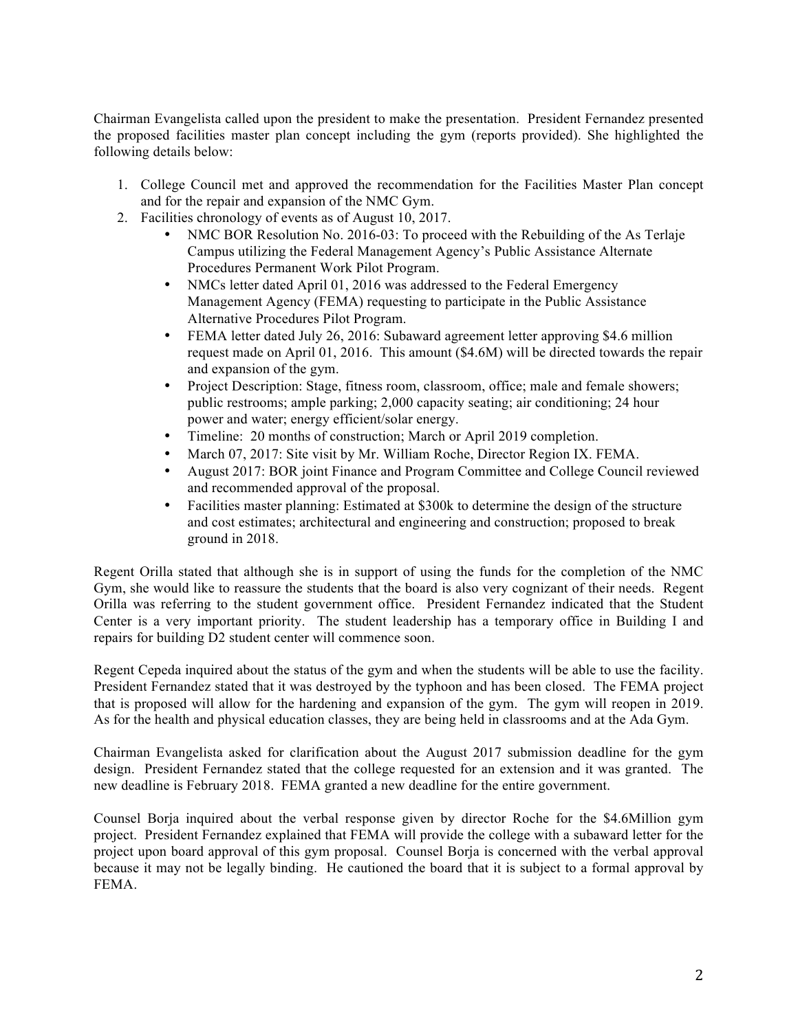Chairman Evangelista called upon the president to make the presentation. President Fernandez presented the proposed facilities master plan concept including the gym (reports provided). She highlighted the following details below:

- 1. College Council met and approved the recommendation for the Facilities Master Plan concept and for the repair and expansion of the NMC Gym.
- 2. Facilities chronology of events as of August 10, 2017.
	- NMC BOR Resolution No. 2016-03: To proceed with the Rebuilding of the As Terlaje Campus utilizing the Federal Management Agency's Public Assistance Alternate Procedures Permanent Work Pilot Program.
	- NMCs letter dated April 01, 2016 was addressed to the Federal Emergency Management Agency (FEMA) requesting to participate in the Public Assistance Alternative Procedures Pilot Program.
	- FEMA letter dated July 26, 2016: Subaward agreement letter approving \$4.6 million request made on April 01, 2016. This amount (\$4.6M) will be directed towards the repair and expansion of the gym.
	- Project Description: Stage, fitness room, classroom, office; male and female showers; public restrooms; ample parking; 2,000 capacity seating; air conditioning; 24 hour power and water; energy efficient/solar energy.
	- Timeline: 20 months of construction; March or April 2019 completion.
	- March 07, 2017: Site visit by Mr. William Roche, Director Region IX. FEMA.<br>• August 2017: BOR ioint Finance and Program Committee and College Council
	- August 2017: BOR joint Finance and Program Committee and College Council reviewed and recommended approval of the proposal.
	- Facilities master planning: Estimated at \$300k to determine the design of the structure and cost estimates; architectural and engineering and construction; proposed to break ground in 2018.

Regent Orilla stated that although she is in support of using the funds for the completion of the NMC Gym, she would like to reassure the students that the board is also very cognizant of their needs. Regent Orilla was referring to the student government office. President Fernandez indicated that the Student Center is a very important priority. The student leadership has a temporary office in Building I and repairs for building D2 student center will commence soon.

Regent Cepeda inquired about the status of the gym and when the students will be able to use the facility. President Fernandez stated that it was destroyed by the typhoon and has been closed. The FEMA project that is proposed will allow for the hardening and expansion of the gym. The gym will reopen in 2019. As for the health and physical education classes, they are being held in classrooms and at the Ada Gym.

Chairman Evangelista asked for clarification about the August 2017 submission deadline for the gym design. President Fernandez stated that the college requested for an extension and it was granted. The new deadline is February 2018. FEMA granted a new deadline for the entire government.

Counsel Borja inquired about the verbal response given by director Roche for the \$4.6Million gym project. President Fernandez explained that FEMA will provide the college with a subaward letter for the project upon board approval of this gym proposal. Counsel Borja is concerned with the verbal approval because it may not be legally binding. He cautioned the board that it is subject to a formal approval by FEMA.